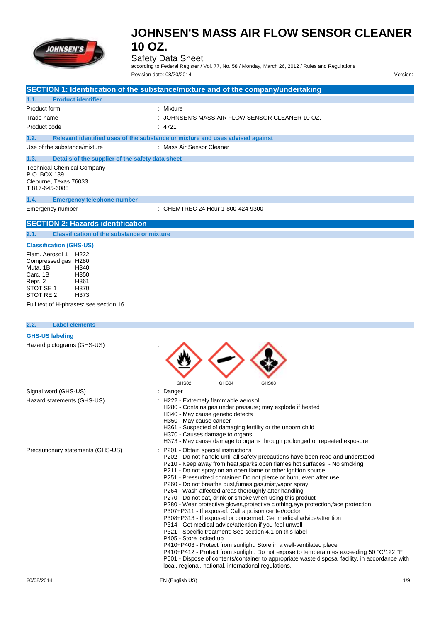

### Safety Data Sheet

according to Federal Register / Vol. 77, No. 58 / Monday, March 26, 2012 / Rules and Regulations Revision date: 08/20/2014 : Version:

|                                                                                                                                                                                            | SECTION 1: Identification of the substance/mixture and of the company/undertaking                                                                                                                                                                                                                                                                                                                                                                                                                                                                                                                                                                                                                                                                                                                                                                                                                                                                                                                                                                                                                                                                                                                                               |
|--------------------------------------------------------------------------------------------------------------------------------------------------------------------------------------------|---------------------------------------------------------------------------------------------------------------------------------------------------------------------------------------------------------------------------------------------------------------------------------------------------------------------------------------------------------------------------------------------------------------------------------------------------------------------------------------------------------------------------------------------------------------------------------------------------------------------------------------------------------------------------------------------------------------------------------------------------------------------------------------------------------------------------------------------------------------------------------------------------------------------------------------------------------------------------------------------------------------------------------------------------------------------------------------------------------------------------------------------------------------------------------------------------------------------------------|
| 1.1.<br><b>Product identifier</b>                                                                                                                                                          |                                                                                                                                                                                                                                                                                                                                                                                                                                                                                                                                                                                                                                                                                                                                                                                                                                                                                                                                                                                                                                                                                                                                                                                                                                 |
| Product form                                                                                                                                                                               | : Mixture                                                                                                                                                                                                                                                                                                                                                                                                                                                                                                                                                                                                                                                                                                                                                                                                                                                                                                                                                                                                                                                                                                                                                                                                                       |
| Trade name                                                                                                                                                                                 | JOHNSEN'S MASS AIR FLOW SENSOR CLEANER 10 OZ.                                                                                                                                                                                                                                                                                                                                                                                                                                                                                                                                                                                                                                                                                                                                                                                                                                                                                                                                                                                                                                                                                                                                                                                   |
| Product code                                                                                                                                                                               | : 4721                                                                                                                                                                                                                                                                                                                                                                                                                                                                                                                                                                                                                                                                                                                                                                                                                                                                                                                                                                                                                                                                                                                                                                                                                          |
| 1.2.                                                                                                                                                                                       | Relevant identified uses of the substance or mixture and uses advised against                                                                                                                                                                                                                                                                                                                                                                                                                                                                                                                                                                                                                                                                                                                                                                                                                                                                                                                                                                                                                                                                                                                                                   |
| Use of the substance/mixture                                                                                                                                                               | : Mass Air Sensor Cleaner                                                                                                                                                                                                                                                                                                                                                                                                                                                                                                                                                                                                                                                                                                                                                                                                                                                                                                                                                                                                                                                                                                                                                                                                       |
| Details of the supplier of the safety data sheet<br>1.3.                                                                                                                                   |                                                                                                                                                                                                                                                                                                                                                                                                                                                                                                                                                                                                                                                                                                                                                                                                                                                                                                                                                                                                                                                                                                                                                                                                                                 |
| <b>Technical Chemical Company</b><br>P.O. BOX 139<br>Cleburne, Texas 76033<br>T 817-645-6088                                                                                               |                                                                                                                                                                                                                                                                                                                                                                                                                                                                                                                                                                                                                                                                                                                                                                                                                                                                                                                                                                                                                                                                                                                                                                                                                                 |
| 1.4.<br><b>Emergency telephone number</b>                                                                                                                                                  |                                                                                                                                                                                                                                                                                                                                                                                                                                                                                                                                                                                                                                                                                                                                                                                                                                                                                                                                                                                                                                                                                                                                                                                                                                 |
| Emergency number                                                                                                                                                                           | : CHEMTREC 24 Hour 1-800-424-9300                                                                                                                                                                                                                                                                                                                                                                                                                                                                                                                                                                                                                                                                                                                                                                                                                                                                                                                                                                                                                                                                                                                                                                                               |
| <b>SECTION 2: Hazards identification</b>                                                                                                                                                   |                                                                                                                                                                                                                                                                                                                                                                                                                                                                                                                                                                                                                                                                                                                                                                                                                                                                                                                                                                                                                                                                                                                                                                                                                                 |
| 2.1.<br><b>Classification of the substance or mixture</b>                                                                                                                                  |                                                                                                                                                                                                                                                                                                                                                                                                                                                                                                                                                                                                                                                                                                                                                                                                                                                                                                                                                                                                                                                                                                                                                                                                                                 |
| <b>Classification (GHS-US)</b>                                                                                                                                                             |                                                                                                                                                                                                                                                                                                                                                                                                                                                                                                                                                                                                                                                                                                                                                                                                                                                                                                                                                                                                                                                                                                                                                                                                                                 |
| Flam. Aerosol 1 H222<br>Compressed gas H280<br>Muta, 1B<br>H340<br>Carc. 1B<br>H350<br>Repr. 2<br>H361<br>STOT SE 1<br>H370<br>STOT RE 2<br>H373<br>Full text of H-phrases: see section 16 |                                                                                                                                                                                                                                                                                                                                                                                                                                                                                                                                                                                                                                                                                                                                                                                                                                                                                                                                                                                                                                                                                                                                                                                                                                 |
|                                                                                                                                                                                            |                                                                                                                                                                                                                                                                                                                                                                                                                                                                                                                                                                                                                                                                                                                                                                                                                                                                                                                                                                                                                                                                                                                                                                                                                                 |
| <b>Label elements</b><br>2.2.                                                                                                                                                              |                                                                                                                                                                                                                                                                                                                                                                                                                                                                                                                                                                                                                                                                                                                                                                                                                                                                                                                                                                                                                                                                                                                                                                                                                                 |
| Hazard pictograms (GHS-US)                                                                                                                                                                 | GHS02<br>GHS04<br>GHS08                                                                                                                                                                                                                                                                                                                                                                                                                                                                                                                                                                                                                                                                                                                                                                                                                                                                                                                                                                                                                                                                                                                                                                                                         |
| Signal word (GHS-US)                                                                                                                                                                       | Danger                                                                                                                                                                                                                                                                                                                                                                                                                                                                                                                                                                                                                                                                                                                                                                                                                                                                                                                                                                                                                                                                                                                                                                                                                          |
| Hazard statements (GHS-US)                                                                                                                                                                 | H222 - Extremely flammable aerosol<br>H280 - Contains gas under pressure; may explode if heated<br>H340 - May cause genetic defects<br>H350 - May cause cancer<br>H361 - Suspected of damaging fertility or the unborn child<br>H370 - Causes damage to organs<br>H373 - May cause damage to organs through prolonged or repeated exposure                                                                                                                                                                                                                                                                                                                                                                                                                                                                                                                                                                                                                                                                                                                                                                                                                                                                                      |
| Precautionary statements (GHS-US)                                                                                                                                                          | P201 - Obtain special instructions<br>P202 - Do not handle until all safety precautions have been read and understood<br>P210 - Keep away from heat, sparks, open flames, hot surfaces. - No smoking<br>P211 - Do not spray on an open flame or other ignition source<br>P251 - Pressurized container: Do not pierce or burn, even after use<br>P260 - Do not breathe dust, fumes, gas, mist, vapor spray<br>P264 - Wash affected areas thoroughly after handling<br>P270 - Do not eat, drink or smoke when using this product<br>P280 - Wear protective gloves, protective clothing, eye protection, face protection<br>P307+P311 - If exposed: Call a poison center/doctor<br>P308+P313 - If exposed or concerned: Get medical advice/attention<br>P314 - Get medical advice/attention if you feel unwell<br>P321 - Specific treatment: See section 4.1 on this label<br>P405 - Store locked up<br>P410+P403 - Protect from sunlight. Store in a well-ventilated place<br>P410+P412 - Protect from sunlight. Do not expose to temperatures exceeding 50 °C/122 °F<br>P501 - Dispose of contents/container to appropriate waste disposal facility, in accordance with<br>local, regional, national, international regulations. |
|                                                                                                                                                                                            |                                                                                                                                                                                                                                                                                                                                                                                                                                                                                                                                                                                                                                                                                                                                                                                                                                                                                                                                                                                                                                                                                                                                                                                                                                 |
| 20/08/2014                                                                                                                                                                                 | EN (English US)<br>1/9                                                                                                                                                                                                                                                                                                                                                                                                                                                                                                                                                                                                                                                                                                                                                                                                                                                                                                                                                                                                                                                                                                                                                                                                          |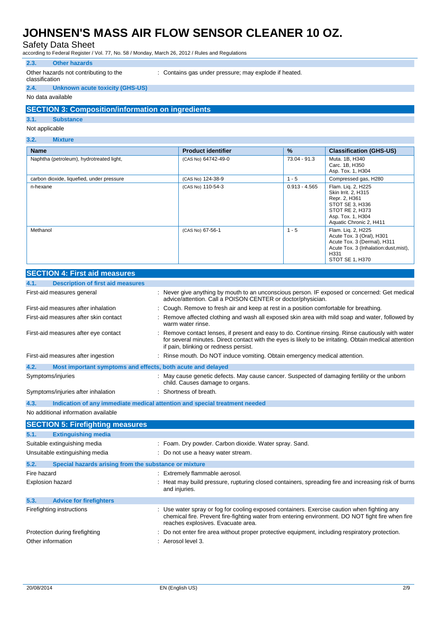Safety Data Sheet

according to Federal Register / Vol. 77, No. 58 / Monday, March 26, 2012 / Rules and Regulations

#### **2.3. Other hazards**

Other hazards not contributing to the

: Contains gas under pressure; may explode if heated.

#### classification **2.4. Unknown acute toxicity (GHS-US)**

#### No data available

#### **SECTION 3: Composition/information on ingredients**

#### **3.1. Substance**

Not applicable

### **3.2. Mixture**

| <b>Name</b>                               | <b>Product identifier</b> | %               | <b>Classification (GHS-US)</b>                                                                                                                      |
|-------------------------------------------|---------------------------|-----------------|-----------------------------------------------------------------------------------------------------------------------------------------------------|
| Naphtha (petroleum), hydrotreated light,  | (CAS No) 64742-49-0       | 73.04 - 91.3    | Muta. 1B, H340<br>Carc. 1B, H350<br>Asp. Tox. 1, H304                                                                                               |
| carbon dioxide, liquefied, under pressure | (CAS No) 124-38-9         | $1 - 5$         | Compressed gas, H280                                                                                                                                |
| n-hexane                                  | (CAS No) 110-54-3         | $0.913 - 4.565$ | Flam. Lig. 2, H225<br>Skin Irrit. 2, H315<br>Repr. 2, H361<br>STOT SE 3, H336<br>STOT RE 2, H373<br>Asp. Tox. 1, H304<br>Aquatic Chronic 2, H411    |
| Methanol                                  | (CAS No) 67-56-1          | $1 - 5$         | Flam. Liq. 2, H225<br>Acute Tox. 3 (Oral), H301<br>Acute Tox. 3 (Dermal), H311<br>Acute Tox. 3 (Inhalation: dust, mist),<br>H331<br>STOT SE 1, H370 |

|             | 525 11011 7. 1 11 31 and 111 casul C3                       |                                                                                                                                                                                                                                                    |
|-------------|-------------------------------------------------------------|----------------------------------------------------------------------------------------------------------------------------------------------------------------------------------------------------------------------------------------------------|
| 4.1.        | <b>Description of first aid measures</b>                    |                                                                                                                                                                                                                                                    |
|             | First-aid measures general                                  | : Never give anything by mouth to an unconscious person. IF exposed or concerned: Get medical<br>advice/attention. Call a POISON CENTER or doctor/physician.                                                                                       |
|             | First-aid measures after inhalation                         | Cough. Remove to fresh air and keep at rest in a position comfortable for breathing.                                                                                                                                                               |
|             | First-aid measures after skin contact                       | Remove affected clothing and wash all exposed skin area with mild soap and water, followed by<br>warm water rinse.                                                                                                                                 |
|             | First-aid measures after eye contact                        | Remove contact lenses, if present and easy to do. Continue rinsing. Rinse cautiously with water<br>for several minutes. Direct contact with the eyes is likely to be irritating. Obtain medical attention<br>if pain, blinking or redness persist. |
|             | First-aid measures after ingestion                          | : Rinse mouth. Do NOT induce vomiting. Obtain emergency medical attention.                                                                                                                                                                         |
| 4.2.        | Most important symptoms and effects, both acute and delayed |                                                                                                                                                                                                                                                    |
|             | Symptoms/injuries                                           | : May cause genetic defects. May cause cancer. Suspected of damaging fertility or the unborn<br>child. Causes damage to organs.                                                                                                                    |
|             | Symptoms/injuries after inhalation                          | Shortness of breath.                                                                                                                                                                                                                               |
| 4.3.        |                                                             | Indication of any immediate medical attention and special treatment needed                                                                                                                                                                         |
|             | No additional information available                         |                                                                                                                                                                                                                                                    |
|             | <b>SECTION 5: Firefighting measures</b>                     |                                                                                                                                                                                                                                                    |
| 5.1.        | <b>Extinguishing media</b>                                  |                                                                                                                                                                                                                                                    |
|             | Suitable extinguishing media                                | : Foam. Dry powder. Carbon dioxide. Water spray. Sand.                                                                                                                                                                                             |
|             | Unsuitable extinguishing media                              | Do not use a heavy water stream.                                                                                                                                                                                                                   |
| 5.2.        | Special hazards arising from the substance or mixture       |                                                                                                                                                                                                                                                    |
| Fire hazard |                                                             | : Extremely flammable aerosol.                                                                                                                                                                                                                     |
|             | <b>Explosion hazard</b>                                     | Heat may build pressure, rupturing closed containers, spreading fire and increasing risk of burns<br>and injuries.                                                                                                                                 |
| 5.3.        | <b>Advice for firefighters</b>                              |                                                                                                                                                                                                                                                    |
|             | Firefighting instructions                                   | Use water spray or fog for cooling exposed containers. Exercise caution when fighting any<br>chemical fire. Prevent fire-fighting water from entering environment. DO NOT fight fire when fire<br>reaches explosives. Evacuate area.               |
|             | Protection during firefighting                              | Do not enter fire area without proper protective equipment, including respiratory protection.                                                                                                                                                      |
|             | Other information                                           | Aerosol level 3.                                                                                                                                                                                                                                   |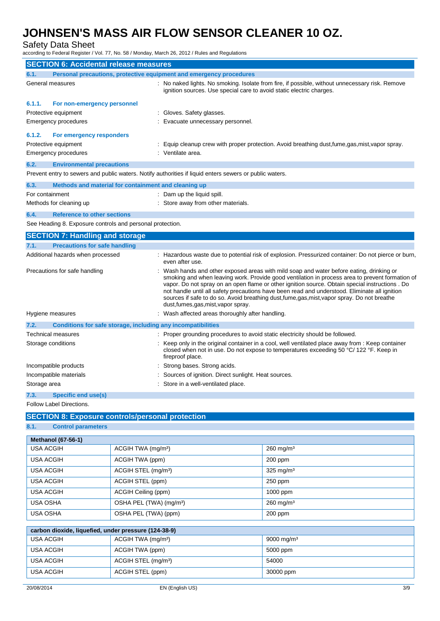Safety Data Sheet

according to Federal Register / Vol. 77, No. 58 / Monday, March 26, 2012 / Rules and Regulations

|              | <b>SECTION 6: Accidental release measures</b>                       |                                                                                                                                                                                                                                                                                                                                                                                                                                                                                                                                         |
|--------------|---------------------------------------------------------------------|-----------------------------------------------------------------------------------------------------------------------------------------------------------------------------------------------------------------------------------------------------------------------------------------------------------------------------------------------------------------------------------------------------------------------------------------------------------------------------------------------------------------------------------------|
| 6.1.         | Personal precautions, protective equipment and emergency procedures |                                                                                                                                                                                                                                                                                                                                                                                                                                                                                                                                         |
|              | General measures                                                    | : No naked lights. No smoking. Isolate from fire, if possible, without unnecessary risk. Remove<br>ignition sources. Use special care to avoid static electric charges.                                                                                                                                                                                                                                                                                                                                                                 |
| 6.1.1.       | For non-emergency personnel                                         |                                                                                                                                                                                                                                                                                                                                                                                                                                                                                                                                         |
|              | Protective equipment                                                | : Gloves. Safety glasses.                                                                                                                                                                                                                                                                                                                                                                                                                                                                                                               |
|              | Emergency procedures                                                | Evacuate unnecessary personnel.                                                                                                                                                                                                                                                                                                                                                                                                                                                                                                         |
| 6.1.2.       | For emergency responders                                            |                                                                                                                                                                                                                                                                                                                                                                                                                                                                                                                                         |
|              | Protective equipment                                                | : Equip cleanup crew with proper protection. Avoid breathing dust,fume,gas,mist,vapor spray.                                                                                                                                                                                                                                                                                                                                                                                                                                            |
|              | Emergency procedures                                                | Ventilate area.                                                                                                                                                                                                                                                                                                                                                                                                                                                                                                                         |
| 6.2.         | <b>Environmental precautions</b>                                    |                                                                                                                                                                                                                                                                                                                                                                                                                                                                                                                                         |
|              |                                                                     | Prevent entry to sewers and public waters. Notify authorities if liquid enters sewers or public waters.                                                                                                                                                                                                                                                                                                                                                                                                                                 |
| 6.3.         | Methods and material for containment and cleaning up                |                                                                                                                                                                                                                                                                                                                                                                                                                                                                                                                                         |
|              | For containment                                                     | : Dam up the liquid spill.                                                                                                                                                                                                                                                                                                                                                                                                                                                                                                              |
|              | Methods for cleaning up                                             | : Store away from other materials.                                                                                                                                                                                                                                                                                                                                                                                                                                                                                                      |
| 6.4.         | <b>Reference to other sections</b>                                  |                                                                                                                                                                                                                                                                                                                                                                                                                                                                                                                                         |
|              | See Heading 8. Exposure controls and personal protection.           |                                                                                                                                                                                                                                                                                                                                                                                                                                                                                                                                         |
|              | <b>SECTION 7: Handling and storage</b>                              |                                                                                                                                                                                                                                                                                                                                                                                                                                                                                                                                         |
| 7.1.         | <b>Precautions for safe handling</b>                                |                                                                                                                                                                                                                                                                                                                                                                                                                                                                                                                                         |
|              | Additional hazards when processed                                   | : Hazardous waste due to potential risk of explosion. Pressurized container: Do not pierce or burn,<br>even after use.                                                                                                                                                                                                                                                                                                                                                                                                                  |
|              | Precautions for safe handling                                       | : Wash hands and other exposed areas with mild soap and water before eating, drinking or<br>smoking and when leaving work. Provide good ventilation in process area to prevent formation of<br>vapor. Do not spray on an open flame or other ignition source. Obtain special instructions . Do<br>not handle until all safety precautions have been read and understood. Eliminate all ignition<br>sources if safe to do so. Avoid breathing dust, fume, gas, mist, vapor spray. Do not breathe<br>dust, fumes, gas, mist, vapor spray. |
|              | Hygiene measures                                                    | : Wash affected areas thoroughly after handling.                                                                                                                                                                                                                                                                                                                                                                                                                                                                                        |
| 7.2.         | Conditions for safe storage, including any incompatibilities        |                                                                                                                                                                                                                                                                                                                                                                                                                                                                                                                                         |
|              | <b>Technical measures</b>                                           | Proper grounding procedures to avoid static electricity should be followed.                                                                                                                                                                                                                                                                                                                                                                                                                                                             |
|              | Storage conditions                                                  | : Keep only in the original container in a cool, well ventilated place away from : Keep container<br>closed when not in use. Do not expose to temperatures exceeding 50 °C/ 122 °F. Keep in<br>fireproof place.                                                                                                                                                                                                                                                                                                                         |
|              | Incompatible products                                               | : Strong bases. Strong acids.                                                                                                                                                                                                                                                                                                                                                                                                                                                                                                           |
|              | Incompatible materials                                              | : Sources of ignition. Direct sunlight. Heat sources.                                                                                                                                                                                                                                                                                                                                                                                                                                                                                   |
| Storage area |                                                                     | : Store in a well-ventilated place.                                                                                                                                                                                                                                                                                                                                                                                                                                                                                                     |
| 7.3.         | Specific end use(s)                                                 |                                                                                                                                                                                                                                                                                                                                                                                                                                                                                                                                         |

Follow Label Directions.

### **SECTION 8: Exposure controls/personal protection**

#### **8.1. Control parameters**

| <b>Methanol (67-56-1)</b>                            |                                     |                         |  |
|------------------------------------------------------|-------------------------------------|-------------------------|--|
| <b>USA ACGIH</b>                                     | ACGIH TWA (mg/m <sup>3</sup> )      | $260$ mg/m <sup>3</sup> |  |
| <b>USA ACGIH</b>                                     | ACGIH TWA (ppm)                     | 200 ppm                 |  |
| <b>USA ACGIH</b>                                     | ACGIH STEL (mg/m <sup>3</sup> )     | $325$ mg/m <sup>3</sup> |  |
| <b>USA ACGIH</b>                                     | ACGIH STEL (ppm)                    | $250$ ppm               |  |
| <b>USA ACGIH</b>                                     | ACGIH Ceiling (ppm)                 | 1000 ppm                |  |
| <b>USA OSHA</b>                                      | OSHA PEL (TWA) (mg/m <sup>3</sup> ) | $260$ mg/m <sup>3</sup> |  |
| <b>USA OSHA</b>                                      | OSHA PEL (TWA) (ppm)                | $200$ ppm               |  |
|                                                      |                                     |                         |  |
| carbon dioxide, liquefied, under pressure (124-38-9) |                                     |                         |  |
| <b>USA ACGIH</b>                                     | ACGIH TWA (mg/m <sup>3</sup> )      | 9000 mg/m <sup>3</sup>  |  |
| <b>USA ACGIH</b>                                     | ACGIH TWA (ppm)                     | 5000 ppm                |  |
| <b>USA ACGIH</b>                                     | ACGIH STEL (mg/m <sup>3</sup> )     | 54000                   |  |

USA ACGIH ACGIH STEL (ppm) 30000 ppm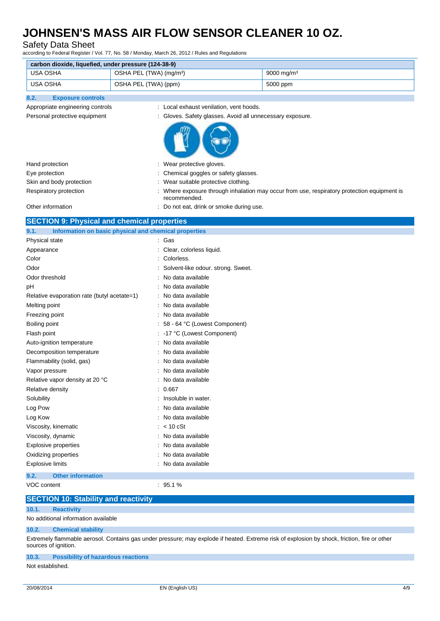### Safety Data Sheet

according to Federal Register / Vol. 77, No. 58 / Monday, March 26, 2012 / Rules and Regulations

| carbon dioxide, liquefied, under pressure (124-38-9) |                                     |                        |  |  |
|------------------------------------------------------|-------------------------------------|------------------------|--|--|
| USA OSHA                                             | OSHA PEL (TWA) (mg/m <sup>3</sup> ) | 9000 mg/m <sup>3</sup> |  |  |
| USA OSHA                                             | OSHA PEL (TWA) (ppm)                | 5000 ppm               |  |  |

## **8.2. Exposure controls**

- Appropriate engineering controls : Local exhaust venilation, vent hoods.
- Personal protective equipment : Gloves. Safety glasses. Avoid all unnecessary exposure.



| Hand protection          | : Wear protective gloves.                                                                                   |
|--------------------------|-------------------------------------------------------------------------------------------------------------|
| Eye protection           | : Chemical goggles or safety glasses.                                                                       |
| Skin and body protection | Wear suitable protective clothing.                                                                          |
| Respiratory protection   | : Where exposure through inhalation may occur from use, respiratory protection equipment is<br>recommended. |
| Other information        | : Do not eat, drink or smoke during use.                                                                    |

#### **SECTION 9: Physical and chemical properties**

| Information on basic physical and chemical properties<br>9.1. |                                    |
|---------------------------------------------------------------|------------------------------------|
| Physical state                                                | Gas                                |
| Appearance                                                    | Clear, colorless liquid.           |
| Color                                                         | Colorless.                         |
| Odor                                                          | Solvent-like odour. strong. Sweet. |
| Odor threshold                                                | No data available                  |
| pH                                                            | No data available                  |
| Relative evaporation rate (butyl acetate=1)                   | No data available                  |
| Melting point                                                 | No data available                  |
| Freezing point                                                | No data available                  |
| Boiling point                                                 | 58 - 64 °C (Lowest Component)      |
| Flash point                                                   | -17 °C (Lowest Component)          |
| Auto-ignition temperature                                     | No data available                  |
| Decomposition temperature                                     | No data available                  |
| Flammability (solid, gas)                                     | No data available                  |
| Vapor pressure                                                | No data available                  |
| Relative vapor density at 20 °C                               | No data available                  |
| Relative density                                              | 0.667                              |
| Solubility                                                    | Insoluble in water.                |
| Log Pow                                                       | No data available                  |
| Log Kow                                                       | No data available                  |
| Viscosity, kinematic                                          | $< 10$ cSt                         |
| Viscosity, dynamic                                            | No data available                  |
| <b>Explosive properties</b>                                   | No data available                  |
| Oxidizing properties                                          | No data available                  |
| <b>Explosive limits</b>                                       | No data available                  |
| <b>Other information</b><br>9.2.                              |                                    |
| VOC content                                                   | $QF_1 \, 1 \, 0$                   |

| VOC content | $: 95.1 \%$                                                                              |                                                                                                                                              |
|-------------|------------------------------------------------------------------------------------------|----------------------------------------------------------------------------------------------------------------------------------------------|
|             | <b>SECTION 10: Stability and reactivity</b>                                              |                                                                                                                                              |
| 10.1.       | <b>Reactivity</b>                                                                        |                                                                                                                                              |
|             | No additional information available                                                      |                                                                                                                                              |
| 10.2.       | <b>Chemical stability</b>                                                                |                                                                                                                                              |
|             | sources of ignition.                                                                     | Extremely flammable aerosol. Contains gas under pressure; may explode if heated. Extreme risk of explosion by shock, friction, fire or other |
|             | $\mathcal{A} \bullet \bullet$ in the set of the set of $\mathcal{A} \bullet \mathcal{A}$ |                                                                                                                                              |

#### **10.3. Possibility of hazardous reactions**

Not established.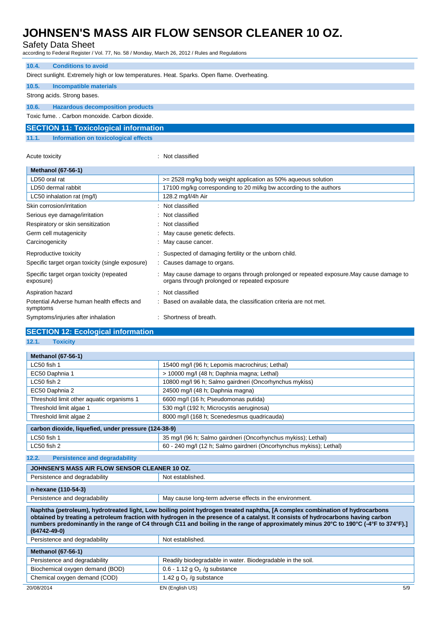### Safety Data Sheet

according to Federal Register / Vol. 77, No. 58 / Monday, March 26, 2012 / Rules and Regulations

#### **10.4. Conditions to avoid**

Direct sunlight. Extremely high or low temperatures. Heat. Sparks. Open flame. Overheating.

### **10.5. Incompatible materials**

#### Strong acids. Strong bases.

**10.6. Hazardous decomposition products**

Toxic fume. . Carbon monoxide. Carbon dioxide.

#### **SECTION 11: Toxicological information**

**11.1. Information on toxicological effects**

| Acute toxicity |
|----------------|
|                |

: Not classified

| <b>Methanol (67-56-1)</b>                              |                                                                                                                                         |
|--------------------------------------------------------|-----------------------------------------------------------------------------------------------------------------------------------------|
| LD50 oral rat                                          | $>= 2528$ mg/kg body weight application as 50% aqueous solution                                                                         |
| LD50 dermal rabbit                                     | 17100 mg/kg corresponding to 20 ml/kg bw according to the authors                                                                       |
| LC50 inhalation rat (mg/l)                             | 128.2 mg/l/4h Air                                                                                                                       |
| Skin corrosion/irritation                              | Not classified                                                                                                                          |
| Serious eye damage/irritation                          | Not classified                                                                                                                          |
| Respiratory or skin sensitization                      | Not classified                                                                                                                          |
| Germ cell mutagenicity                                 | May cause genetic defects.                                                                                                              |
| Carcinogenicity                                        | May cause cancer.                                                                                                                       |
| Reproductive toxicity                                  | Suspected of damaging fertility or the unborn child.                                                                                    |
| Specific target organ toxicity (single exposure)       | : Causes damage to organs.                                                                                                              |
| Specific target organ toxicity (repeated<br>exposure)  | May cause damage to organs through prolonged or repeated exposure. May cause damage to<br>organs through prolonged or repeated exposure |
| Aspiration hazard                                      | Not classified                                                                                                                          |
| Potential Adverse human health effects and<br>symptoms | Based on available data, the classification criteria are not met.                                                                       |
| Symptoms/injuries after inhalation                     | Shortness of breath.                                                                                                                    |

### **SECTION 12: Ecological information**

**12.1. Toxicity**

| <b>Methanol (67-56-1)</b>                                                                                                                                                                                                                                                                                                                                                                                                     |                                                                     |  |
|-------------------------------------------------------------------------------------------------------------------------------------------------------------------------------------------------------------------------------------------------------------------------------------------------------------------------------------------------------------------------------------------------------------------------------|---------------------------------------------------------------------|--|
| LC50 fish 1                                                                                                                                                                                                                                                                                                                                                                                                                   | 15400 mg/l (96 h; Lepomis macrochirus; Lethal)                      |  |
| EC50 Daphnia 1                                                                                                                                                                                                                                                                                                                                                                                                                | > 10000 mg/l (48 h; Daphnia magna; Lethal)                          |  |
| LC50 fish 2                                                                                                                                                                                                                                                                                                                                                                                                                   | 10800 mg/l 96 h; Salmo gairdneri (Oncorhynchus mykiss)              |  |
| EC50 Daphnia 2                                                                                                                                                                                                                                                                                                                                                                                                                | 24500 mg/l (48 h; Daphnia magna)                                    |  |
| Threshold limit other aquatic organisms 1                                                                                                                                                                                                                                                                                                                                                                                     | 6600 mg/l (16 h; Pseudomonas putida)                                |  |
| Threshold limit algae 1                                                                                                                                                                                                                                                                                                                                                                                                       | 530 mg/l (192 h; Microcystis aeruginosa)                            |  |
| Threshold limit algae 2                                                                                                                                                                                                                                                                                                                                                                                                       | 8000 mg/l (168 h; Scenedesmus quadricauda)                          |  |
| carbon dioxide, liquefied, under pressure (124-38-9)                                                                                                                                                                                                                                                                                                                                                                          |                                                                     |  |
| LC50 fish 1                                                                                                                                                                                                                                                                                                                                                                                                                   | 35 mg/l (96 h; Salmo gairdneri (Oncorhynchus mykiss); Lethal)       |  |
| LC50 fish 2                                                                                                                                                                                                                                                                                                                                                                                                                   | 60 - 240 mg/l (12 h; Salmo gairdneri (Oncorhynchus mykiss); Lethal) |  |
| 12.2.<br><b>Persistence and degradability</b>                                                                                                                                                                                                                                                                                                                                                                                 |                                                                     |  |
| JOHNSEN'S MASS AIR FLOW SENSOR CLEANER 10 OZ.                                                                                                                                                                                                                                                                                                                                                                                 |                                                                     |  |
| Persistence and degradability                                                                                                                                                                                                                                                                                                                                                                                                 | Not established.                                                    |  |
| n-hexane (110-54-3)                                                                                                                                                                                                                                                                                                                                                                                                           |                                                                     |  |
| Persistence and degradability                                                                                                                                                                                                                                                                                                                                                                                                 | May cause long-term adverse effects in the environment.             |  |
| Naphtha (petroleum), hydrotreated light, Low boiling point hydrogen treated naphtha, [A complex combination of hydrocarbons<br>obtained by treating a petroleum fraction with hydrogen in the presence of a catalyst. It consists of hydrocarbons having carbon<br>numbers predominantly in the range of C4 through C11 and boiling in the range of approximately minus 20°C to 190°C (-4°F to 374°F).]<br>$(64742 - 49 - 0)$ |                                                                     |  |
| Persistence and degradability                                                                                                                                                                                                                                                                                                                                                                                                 | Not established.                                                    |  |
| <b>Methanol (67-56-1)</b>                                                                                                                                                                                                                                                                                                                                                                                                     |                                                                     |  |
| Persistence and degradability                                                                                                                                                                                                                                                                                                                                                                                                 | Readily biodegradable in water. Biodegradable in the soil.          |  |
| Biochemical oxygen demand (BOD)                                                                                                                                                                                                                                                                                                                                                                                               | 0.6 - 1.12 g $O2$ /g substance                                      |  |
| Chemical oxygen demand (COD)                                                                                                                                                                                                                                                                                                                                                                                                  | 1.42 $qO2$ /g substance                                             |  |
| 20/08/2014                                                                                                                                                                                                                                                                                                                                                                                                                    | EN (English US)<br>5/9                                              |  |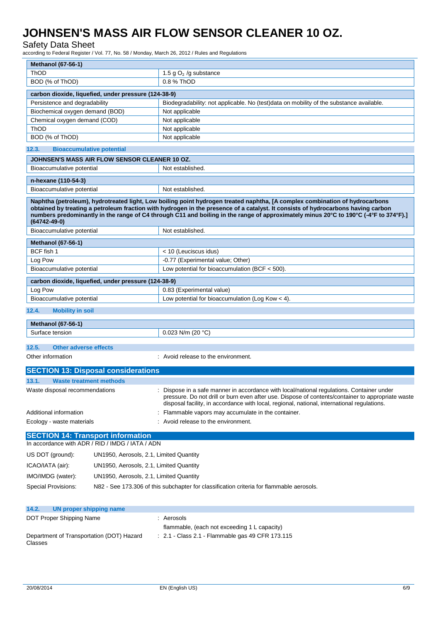### Safety Data Sheet

according to Federal Register / Vol. 77, No. 58 / Monday, March 26, 2012 / Rules and Regulations

| <b>Methanol (67-56-1)</b>                                                                                                                                                                                                                                                                                                                                                                                                     |                                                                                                                                                                                                                                                                                             |  |  |  |
|-------------------------------------------------------------------------------------------------------------------------------------------------------------------------------------------------------------------------------------------------------------------------------------------------------------------------------------------------------------------------------------------------------------------------------|---------------------------------------------------------------------------------------------------------------------------------------------------------------------------------------------------------------------------------------------------------------------------------------------|--|--|--|
| <b>ThOD</b>                                                                                                                                                                                                                                                                                                                                                                                                                   | 1.5 g $O_2$ /g substance<br>0.8 % ThOD                                                                                                                                                                                                                                                      |  |  |  |
| BOD (% of ThOD)                                                                                                                                                                                                                                                                                                                                                                                                               |                                                                                                                                                                                                                                                                                             |  |  |  |
| carbon dioxide, liquefied, under pressure (124-38-9)                                                                                                                                                                                                                                                                                                                                                                          |                                                                                                                                                                                                                                                                                             |  |  |  |
| Persistence and degradability                                                                                                                                                                                                                                                                                                                                                                                                 | Biodegradability: not applicable. No (test)data on mobility of the substance available.                                                                                                                                                                                                     |  |  |  |
| Biochemical oxygen demand (BOD)                                                                                                                                                                                                                                                                                                                                                                                               | Not applicable                                                                                                                                                                                                                                                                              |  |  |  |
| Chemical oxygen demand (COD)                                                                                                                                                                                                                                                                                                                                                                                                  | Not applicable                                                                                                                                                                                                                                                                              |  |  |  |
| ThOD                                                                                                                                                                                                                                                                                                                                                                                                                          | Not applicable                                                                                                                                                                                                                                                                              |  |  |  |
| BOD (% of ThOD)                                                                                                                                                                                                                                                                                                                                                                                                               | Not applicable                                                                                                                                                                                                                                                                              |  |  |  |
| 12.3.<br><b>Bioaccumulative potential</b>                                                                                                                                                                                                                                                                                                                                                                                     |                                                                                                                                                                                                                                                                                             |  |  |  |
| JOHNSEN'S MASS AIR FLOW SENSOR CLEANER 10 OZ.                                                                                                                                                                                                                                                                                                                                                                                 |                                                                                                                                                                                                                                                                                             |  |  |  |
| Bioaccumulative potential                                                                                                                                                                                                                                                                                                                                                                                                     | Not established.                                                                                                                                                                                                                                                                            |  |  |  |
| n-hexane (110-54-3)                                                                                                                                                                                                                                                                                                                                                                                                           |                                                                                                                                                                                                                                                                                             |  |  |  |
| Bioaccumulative potential                                                                                                                                                                                                                                                                                                                                                                                                     | Not established.                                                                                                                                                                                                                                                                            |  |  |  |
|                                                                                                                                                                                                                                                                                                                                                                                                                               |                                                                                                                                                                                                                                                                                             |  |  |  |
| Naphtha (petroleum), hydrotreated light, Low boiling point hydrogen treated naphtha, [A complex combination of hydrocarbons<br>obtained by treating a petroleum fraction with hydrogen in the presence of a catalyst. It consists of hydrocarbons having carbon<br>numbers predominantly in the range of C4 through C11 and boiling in the range of approximately minus 20°C to 190°C (-4°F to 374°F).]<br>$(64742 - 49 - 0)$ |                                                                                                                                                                                                                                                                                             |  |  |  |
| Bioaccumulative potential                                                                                                                                                                                                                                                                                                                                                                                                     | Not established.                                                                                                                                                                                                                                                                            |  |  |  |
| <b>Methanol (67-56-1)</b>                                                                                                                                                                                                                                                                                                                                                                                                     |                                                                                                                                                                                                                                                                                             |  |  |  |
| BCF fish 1                                                                                                                                                                                                                                                                                                                                                                                                                    | < 10 (Leuciscus idus)                                                                                                                                                                                                                                                                       |  |  |  |
| Log Pow                                                                                                                                                                                                                                                                                                                                                                                                                       | -0.77 (Experimental value; Other)                                                                                                                                                                                                                                                           |  |  |  |
| Bioaccumulative potential                                                                                                                                                                                                                                                                                                                                                                                                     | Low potential for bioaccumulation (BCF $<$ 500).                                                                                                                                                                                                                                            |  |  |  |
| carbon dioxide, liquefied, under pressure (124-38-9)                                                                                                                                                                                                                                                                                                                                                                          |                                                                                                                                                                                                                                                                                             |  |  |  |
| Log Pow                                                                                                                                                                                                                                                                                                                                                                                                                       | 0.83 (Experimental value)                                                                                                                                                                                                                                                                   |  |  |  |
| Bioaccumulative potential                                                                                                                                                                                                                                                                                                                                                                                                     | Low potential for bioaccumulation (Log Kow $<$ 4).                                                                                                                                                                                                                                          |  |  |  |
|                                                                                                                                                                                                                                                                                                                                                                                                                               |                                                                                                                                                                                                                                                                                             |  |  |  |
| 12.4.<br><b>Mobility in soil</b>                                                                                                                                                                                                                                                                                                                                                                                              |                                                                                                                                                                                                                                                                                             |  |  |  |
| <b>Methanol (67-56-1)</b>                                                                                                                                                                                                                                                                                                                                                                                                     |                                                                                                                                                                                                                                                                                             |  |  |  |
| Surface tension                                                                                                                                                                                                                                                                                                                                                                                                               | 0.023 N/m (20 $°C$ )                                                                                                                                                                                                                                                                        |  |  |  |
|                                                                                                                                                                                                                                                                                                                                                                                                                               |                                                                                                                                                                                                                                                                                             |  |  |  |
| 12.5.<br><b>Other adverse effects</b>                                                                                                                                                                                                                                                                                                                                                                                         |                                                                                                                                                                                                                                                                                             |  |  |  |
| Other information                                                                                                                                                                                                                                                                                                                                                                                                             | : Avoid release to the environment.                                                                                                                                                                                                                                                         |  |  |  |
| <b>SECTION 13: Disposal considerations</b>                                                                                                                                                                                                                                                                                                                                                                                    |                                                                                                                                                                                                                                                                                             |  |  |  |
| 13.1.<br><b>Waste treatment methods</b>                                                                                                                                                                                                                                                                                                                                                                                       |                                                                                                                                                                                                                                                                                             |  |  |  |
| Waste disposal recommendations                                                                                                                                                                                                                                                                                                                                                                                                | Dispose in a safe manner in accordance with local/national regulations. Container under<br>pressure. Do not drill or burn even after use. Dispose of contents/container to appropriate waste<br>disposal facility, in accordance with local, regional, national, international regulations. |  |  |  |
| Additional information                                                                                                                                                                                                                                                                                                                                                                                                        | Flammable vapors may accumulate in the container.                                                                                                                                                                                                                                           |  |  |  |
| Ecology - waste materials                                                                                                                                                                                                                                                                                                                                                                                                     | : Avoid release to the environment.                                                                                                                                                                                                                                                         |  |  |  |
| <b>SECTION 14: Transport information</b>                                                                                                                                                                                                                                                                                                                                                                                      |                                                                                                                                                                                                                                                                                             |  |  |  |
| In accordance with ADR / RID / IMDG / IATA / ADN                                                                                                                                                                                                                                                                                                                                                                              |                                                                                                                                                                                                                                                                                             |  |  |  |
|                                                                                                                                                                                                                                                                                                                                                                                                                               |                                                                                                                                                                                                                                                                                             |  |  |  |
| US DOT (ground):<br>UN1950, Aerosols, 2.1, Limited Quantity                                                                                                                                                                                                                                                                                                                                                                   |                                                                                                                                                                                                                                                                                             |  |  |  |
| ICAO/IATA (air):<br>UN1950, Aerosols, 2.1, Limited Quantity                                                                                                                                                                                                                                                                                                                                                                   |                                                                                                                                                                                                                                                                                             |  |  |  |
| IMO/IMDG (water):<br>UN1950, Aerosols, 2.1, Limited Quantity                                                                                                                                                                                                                                                                                                                                                                  |                                                                                                                                                                                                                                                                                             |  |  |  |
| Special Provisions:                                                                                                                                                                                                                                                                                                                                                                                                           | N82 - See 173.306 of this subchapter for classification criteria for flammable aerosols.                                                                                                                                                                                                    |  |  |  |
| <b>IIN proper shinning name</b>                                                                                                                                                                                                                                                                                                                                                                                               |                                                                                                                                                                                                                                                                                             |  |  |  |

| $\mathbf{r}$ . On proper simpling name               |                                                             |
|------------------------------------------------------|-------------------------------------------------------------|
| DOT Proper Shipping Name                             | : Aerosols                                                  |
|                                                      | flammable, (each not exceeding 1 L capacity)                |
| Department of Transportation (DOT) Hazard<br>Classes | $\therefore$ 2.1 - Class 2.1 - Flammable gas 49 CFR 173.115 |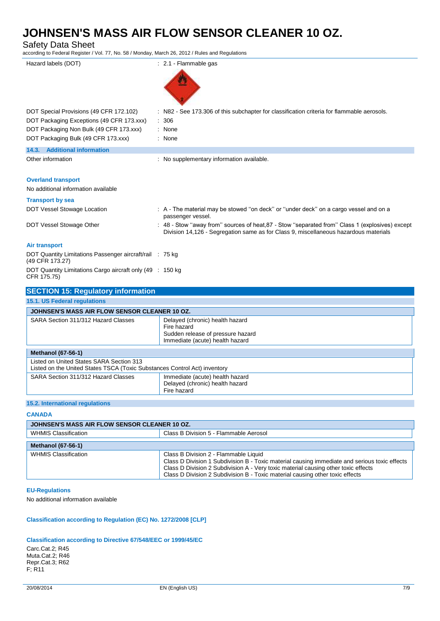Safety Data Sheet

according to Federal Register / Vol. 77, No. 58 / Monday, March 26, 2012 / Rules and Regulations

| Hazard labels (DOT)                                                            | : 2.1 - Flammable gas                                                                                                                                                                   |
|--------------------------------------------------------------------------------|-----------------------------------------------------------------------------------------------------------------------------------------------------------------------------------------|
|                                                                                |                                                                                                                                                                                         |
|                                                                                |                                                                                                                                                                                         |
| DOT Special Provisions (49 CFR 172.102)                                        | : N82 - See 173.306 of this subchapter for classification criteria for flammable aerosols.                                                                                              |
| DOT Packaging Exceptions (49 CFR 173.xxx)                                      | : 306                                                                                                                                                                                   |
| DOT Packaging Non Bulk (49 CFR 173.xxx)<br>DOT Packaging Bulk (49 CFR 173.xxx) | : None<br>: None                                                                                                                                                                        |
| 14.3. Additional information                                                   |                                                                                                                                                                                         |
| Other information                                                              | : No supplementary information available.                                                                                                                                               |
|                                                                                |                                                                                                                                                                                         |
| <b>Overland transport</b>                                                      |                                                                                                                                                                                         |
| No additional information available                                            |                                                                                                                                                                                         |
| <b>Transport by sea</b>                                                        |                                                                                                                                                                                         |
| DOT Vessel Stowage Location                                                    | : A - The material may be stowed "on deck" or "under deck" on a cargo vessel and on a<br>passenger vessel.                                                                              |
| DOT Vessel Stowage Other                                                       | : 48 - Stow "away from" sources of heat, 87 - Stow "separated from" Class 1 (explosives) except<br>Division 14,126 - Segregation same as for Class 9, miscellaneous hazardous materials |
| <b>Air transport</b>                                                           |                                                                                                                                                                                         |
| DOT Quantity Limitations Passenger aircraft/rail : 75 kg<br>(49 CFR 173.27)    |                                                                                                                                                                                         |
| DOT Quantity Limitations Cargo aircraft only (49 : 150 kg<br>CFR 175.75)       |                                                                                                                                                                                         |
| <b>SECTION 15: Regulatory information</b>                                      |                                                                                                                                                                                         |
| 15.1. US Federal regulations                                                   |                                                                                                                                                                                         |
| JOHNSEN'S MASS AIR FLOW SENSOR CLEANER 10 OZ.                                  |                                                                                                                                                                                         |
| SARA Section 311/312 Hazard Classes                                            | Delayed (chronic) health hazard<br>Fire hazard                                                                                                                                          |
|                                                                                | Sudden release of pressure hazard                                                                                                                                                       |
|                                                                                | Immediate (acute) health hazard                                                                                                                                                         |

|                                                                                                                       | Immediate (acute) health hazard                                                   |  |
|-----------------------------------------------------------------------------------------------------------------------|-----------------------------------------------------------------------------------|--|
| <b>Methanol (67-56-1)</b>                                                                                             |                                                                                   |  |
| Listed on United States SARA Section 313<br>Listed on the United States TSCA (Toxic Substances Control Act) inventory |                                                                                   |  |
| SARA Section 311/312 Hazard Classes                                                                                   | Immediate (acute) health hazard<br>Delayed (chronic) health hazard<br>Fire hazard |  |

#### **15.2. International regulations**

**CANADA**

| JOHNSEN'S MASS AIR FLOW SENSOR CLEANER 10 OZ. |                                                                                                                                                                                                                                                                                                               |  |
|-----------------------------------------------|---------------------------------------------------------------------------------------------------------------------------------------------------------------------------------------------------------------------------------------------------------------------------------------------------------------|--|
| <b>WHMIS Classification</b>                   | Class B Division 5 - Flammable Aerosol                                                                                                                                                                                                                                                                        |  |
| <b>Methanol (67-56-1)</b>                     |                                                                                                                                                                                                                                                                                                               |  |
| <b>WHMIS Classification</b>                   | Class B Division 2 - Flammable Liquid<br>Class D Division 1 Subdivision B - Toxic material causing immediate and serious toxic effects<br>Class D Division 2 Subdivision A - Very toxic material causing other toxic effects<br>Class D Division 2 Subdivision B - Toxic material causing other toxic effects |  |

#### **EU-Regulations**

No additional information available

#### **Classification according to Regulation (EC) No. 1272/2008 [CLP]**

#### **Classification according to Directive 67/548/EEC or 1999/45/EC**

Carc.Cat.2; R45 Muta.Cat.2; R46 Repr.Cat.3; R62 F; R11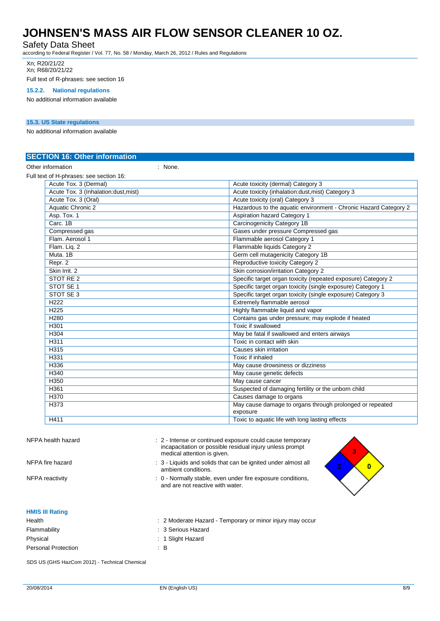#### Safety Data Sheet

according to Federal Register / Vol. 77, No. 58 / Monday, March 26, 2012 / Rules and Regulations

Xn; R20/21/22 Xn; R68/20/21/22

Full text of R-phrases: see section 16

### **15.2.2. National regulations**

No additional information available

#### **15.3. US State regulations**

No additional information available

| Acute toxicity (dermal) Category 3                                   |
|----------------------------------------------------------------------|
| Acute toxicity (inhalation:dust, mist) Category 3                    |
| Acute toxicity (oral) Category 3                                     |
| Hazardous to the aquatic environment - Chronic Hazard Category 2     |
| <b>Aspiration hazard Category 1</b>                                  |
| Carcinogenicity Category 1B                                          |
| Gases under pressure Compressed gas                                  |
| Flammable aerosol Category 1                                         |
| Flammable liquids Category 2                                         |
| Germ cell mutagenicity Category 1B                                   |
| <b>Reproductive toxicity Category 2</b>                              |
| Skin corrosion/irritation Category 2                                 |
| Specific target organ toxicity (repeated exposure) Category 2        |
| Specific target organ toxicity (single exposure) Category 1          |
| Specific target organ toxicity (single exposure) Category 3          |
| Extremely flammable aerosol                                          |
| Highly flammable liquid and vapor                                    |
| Contains gas under pressure; may explode if heated                   |
| Toxic if swallowed                                                   |
| May be fatal if swallowed and enters airways                         |
| Toxic in contact with skin                                           |
| Causes skin irritation                                               |
| Toxic if inhaled                                                     |
| May cause drowsiness or dizziness                                    |
| May cause genetic defects                                            |
| May cause cancer                                                     |
| Suspected of damaging fertility or the unborn child                  |
| Causes damage to organs                                              |
| May cause damage to organs through prolonged or repeated<br>exposure |
| Toxic to aquatic life with long lasting effects                      |
|                                                                      |

| NFPA health hazard         | : 2 - Intense or continued exposure could cause temporary<br>incapacitation or possible residual injury unless prompt<br>medical attention is given. |  |
|----------------------------|------------------------------------------------------------------------------------------------------------------------------------------------------|--|
| NFPA fire hazard           | : 3 - Liquids and solids that can be ignited under almost all<br>ambient conditions.                                                                 |  |
| NFPA reactivity            | : 0 - Normally stable, even under fire exposure conditions,<br>and are not reactive with water.                                                      |  |
| <b>HMIS III Rating</b>     |                                                                                                                                                      |  |
| Health                     | : 2 Moderate Hazard - Temporary or minor injury may occur                                                                                            |  |
| Flammability               | : 3 Serious Hazard                                                                                                                                   |  |
| Physical                   | : 1 Slight Hazard                                                                                                                                    |  |
| <b>Personal Protection</b> | : B                                                                                                                                                  |  |

SDS US (GHS HazCom 2012) - Technical Chemical